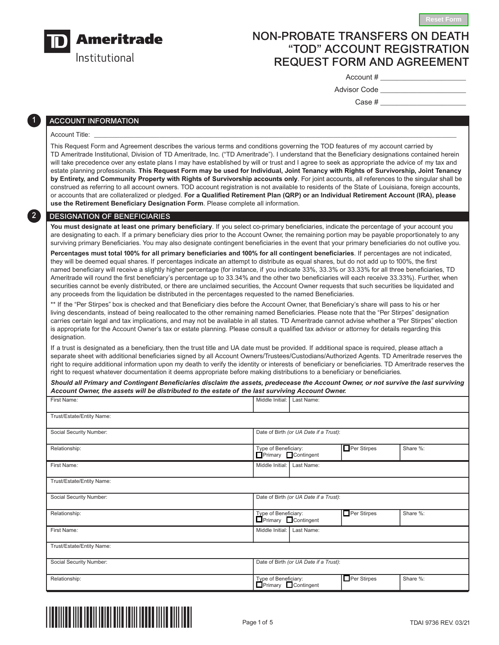

Institutional

# NON-PROBATE TRANSFERS ON DEATH "TOD" ACCOUNT REGISTRATION REQUEST FORM AND AGREEMENT

Account # \_\_\_\_\_\_\_\_\_\_\_\_\_\_\_\_\_\_\_\_\_

| Advisor Code |  |
|--------------|--|
|              |  |

**Reset Form**

Case # \_\_\_\_\_\_\_\_\_\_\_\_\_\_\_\_\_\_\_\_\_

# ACCOUNT INFORMATION

## Account Title: \_\_\_\_\_\_\_\_\_\_\_\_\_\_\_\_\_\_\_\_\_\_\_\_\_\_\_\_\_\_\_\_\_\_\_\_\_\_\_\_\_\_\_\_\_\_\_\_\_\_\_\_\_\_\_\_\_\_\_\_\_\_\_\_\_\_\_\_\_\_\_\_\_\_\_\_\_\_\_\_\_\_\_\_\_\_\_\_\_\_\_\_\_\_\_\_\_\_\_\_

31

 $\boxed{2}$ 

This Request Form and Agreement describes the various terms and conditions governing the TOD features of my account carried by TD Ameritrade Institutional, Division of TD Ameritrade, Inc. ("TD Ameritrade"). I understand that the Beneficiary designations contained herein will take precedence over any estate plans I may have established by will or trust and I agree to seek as appropriate the advice of my tax and estate planning professionals. **This Request Form may be used for Individual, Joint Tenancy with Rights of Survivorship, Joint Tenancy by Entirety, and Community Property with Rights of Survivorship accounts only**. For joint accounts, all references to the singular shall be construed as referring to all account owners. TOD account registration is not available to residents of the State of Louisiana, foreign accounts, or accounts that are collateralized or pledged. **For a Qualified Retirement Plan (QRP) or an Individual Retirement Account (IRA), please use the Retirement Beneficiary Designation Form**. Please complete all information.

# DESIGNATION OF BENEFICIARIES

**You must designate at least one primary beneficiary**. If you select co-primary beneficiaries, indicate the percentage of your account you are designating to each. If a primary beneficiary dies prior to the Account Owner, the remaining portion may be payable proportionately to any surviving primary Beneficiaries. You may also designate contingent beneficiaries in the event that your primary beneficiaries do not outlive you.

**Percentages must total 100% for all primary beneficiaries and 100% for all contingent beneficiaries**. If percentages are not indicated, they will be deemed equal shares. If percentages indicate an attempt to distribute as equal shares, but do not add up to 100%, the first named beneficiary will receive a slightly higher percentage (for instance, if you indicate 33%, 33.3% or 33.33% for all three beneficiaries, TD Ameritrade will round the first beneficiary's percentage up to 33.34% and the other two beneficiaries will each receive 33.33%). Further, when securities cannot be evenly distributed, or there are unclaimed securities, the Account Owner requests that such securities be liquidated and any proceeds from the liquidation be distributed in the percentages requested to the named Beneficiaries.

\*\* If the "Per Stirpes" box is checked and that Beneficiary dies before the Account Owner, that Beneficiary's share will pass to his or her living descendants, instead of being reallocated to the other remaining named Beneficiaries. Please note that the "Per Stirpes" designation carries certain legal and tax implications, and may not be available in all states. TD Ameritrade cannot advise whether a "Per Stirpes" election is appropriate for the Account Owner's tax or estate planning. Please consult a qualified tax advisor or attorney for details regarding this designation.

If a trust is designated as a beneficiary, then the trust title and UA date must be provided. If additional space is required, please attach a separate sheet with additional beneficiaries signed by all Account Owners/Trustees/Custodians/Authorized Agents. TD Ameritrade reserves the right to require additional information upon my death to verify the identity or interests of beneficiary or beneficiaries. TD Ameritrade reserves the right to request whatever documentation it deems appropriate before making distributions to a beneficiary or beneficiaries.

| Should all Primary and Contingent Beneficiaries disclaim the assets, predecease the Account Owner, or not survive the last surviving |
|--------------------------------------------------------------------------------------------------------------------------------------|
| Account Owner, the assets will be distributed to the estate of the last surviving Account Owner.                                     |

| First Name:               | Middle Initial:<br>Last Name:                                                |  |  |  |  |  |  |
|---------------------------|------------------------------------------------------------------------------|--|--|--|--|--|--|
| Trust/Estate/Entity Name: |                                                                              |  |  |  |  |  |  |
| Social Security Number:   | Date of Birth (or UA Date if a Trust):                                       |  |  |  |  |  |  |
| Relationship:             | $\Box$ Per Stirpes<br>Type of Beneficiary:<br>Primary Contingent<br>Share %: |  |  |  |  |  |  |
| First Name:               | Middle Initial:<br>Last Name:                                                |  |  |  |  |  |  |
| Trust/Estate/Entity Name: |                                                                              |  |  |  |  |  |  |
| Social Security Number:   | Date of Birth (or UA Date if a Trust):                                       |  |  |  |  |  |  |
| Relationship:             | $\Box$ Per Stirpes<br>Type of Beneficiary:<br>Share %:<br>Primary Contingent |  |  |  |  |  |  |
| First Name:               | Middle Initial:<br>Last Name:                                                |  |  |  |  |  |  |
| Trust/Estate/Entity Name: |                                                                              |  |  |  |  |  |  |
| Social Security Number:   | Date of Birth (or UA Date if a Trust):                                       |  |  |  |  |  |  |
| Relationship:             | Per Stirpes<br>Type of Beneficiary:<br>Primary Contingent<br>Share %:        |  |  |  |  |  |  |

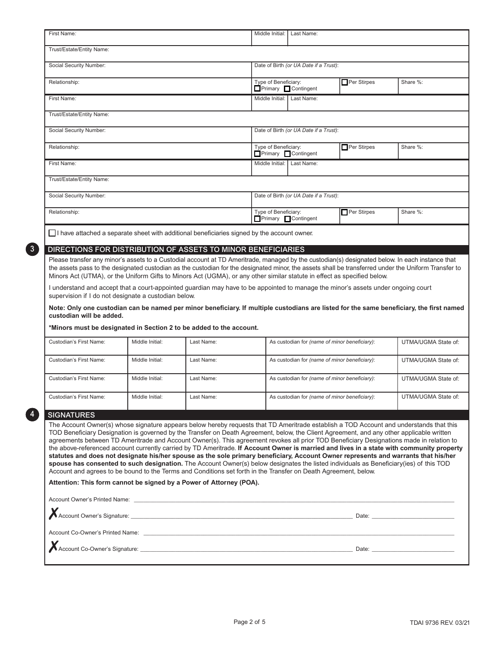| First Name:                                                                                                                                                                                                                                                                                                                                                                                                                                                                                                                                                                                                                                                                                                                                                                                                                                                                                                                                                                                                                                             |                                                                                               |            |                                        | Middle Initial: I Last Name:                                         |                    |                     |  |  |  |
|---------------------------------------------------------------------------------------------------------------------------------------------------------------------------------------------------------------------------------------------------------------------------------------------------------------------------------------------------------------------------------------------------------------------------------------------------------------------------------------------------------------------------------------------------------------------------------------------------------------------------------------------------------------------------------------------------------------------------------------------------------------------------------------------------------------------------------------------------------------------------------------------------------------------------------------------------------------------------------------------------------------------------------------------------------|-----------------------------------------------------------------------------------------------|------------|----------------------------------------|----------------------------------------------------------------------|--------------------|---------------------|--|--|--|
| Trust/Estate/Entity Name:                                                                                                                                                                                                                                                                                                                                                                                                                                                                                                                                                                                                                                                                                                                                                                                                                                                                                                                                                                                                                               |                                                                                               |            |                                        |                                                                      |                    |                     |  |  |  |
| Social Security Number:                                                                                                                                                                                                                                                                                                                                                                                                                                                                                                                                                                                                                                                                                                                                                                                                                                                                                                                                                                                                                                 |                                                                                               |            | Date of Birth (or UA Date if a Trust): |                                                                      |                    |                     |  |  |  |
| Relationship:                                                                                                                                                                                                                                                                                                                                                                                                                                                                                                                                                                                                                                                                                                                                                                                                                                                                                                                                                                                                                                           |                                                                                               |            | Type of Beneficiary:                   | Primary Contingent                                                   | Per Stirpes        | Share %:            |  |  |  |
| First Name:                                                                                                                                                                                                                                                                                                                                                                                                                                                                                                                                                                                                                                                                                                                                                                                                                                                                                                                                                                                                                                             |                                                                                               |            |                                        | Middle Initial: Last Name:                                           |                    |                     |  |  |  |
| Trust/Estate/Entity Name:                                                                                                                                                                                                                                                                                                                                                                                                                                                                                                                                                                                                                                                                                                                                                                                                                                                                                                                                                                                                                               |                                                                                               |            |                                        |                                                                      |                    |                     |  |  |  |
| Social Security Number:                                                                                                                                                                                                                                                                                                                                                                                                                                                                                                                                                                                                                                                                                                                                                                                                                                                                                                                                                                                                                                 |                                                                                               |            | Date of Birth (or UA Date if a Trust): |                                                                      |                    |                     |  |  |  |
| Relationship:                                                                                                                                                                                                                                                                                                                                                                                                                                                                                                                                                                                                                                                                                                                                                                                                                                                                                                                                                                                                                                           |                                                                                               |            | Type of Beneficiary:                   | Primary Contingent                                                   | $\Box$ Per Stirpes | Share %:            |  |  |  |
| First Name:                                                                                                                                                                                                                                                                                                                                                                                                                                                                                                                                                                                                                                                                                                                                                                                                                                                                                                                                                                                                                                             |                                                                                               |            | Middle Initial: Last Name:             |                                                                      |                    |                     |  |  |  |
| Trust/Estate/Entity Name:                                                                                                                                                                                                                                                                                                                                                                                                                                                                                                                                                                                                                                                                                                                                                                                                                                                                                                                                                                                                                               |                                                                                               |            |                                        |                                                                      |                    |                     |  |  |  |
| Social Security Number:                                                                                                                                                                                                                                                                                                                                                                                                                                                                                                                                                                                                                                                                                                                                                                                                                                                                                                                                                                                                                                 |                                                                                               |            | Date of Birth (or UA Date if a Trust): |                                                                      |                    |                     |  |  |  |
| Relationship:                                                                                                                                                                                                                                                                                                                                                                                                                                                                                                                                                                                                                                                                                                                                                                                                                                                                                                                                                                                                                                           |                                                                                               |            |                                        | Per Stirpes<br>Type of Beneficiary:<br>Primary Contingent            |                    | Share %:            |  |  |  |
|                                                                                                                                                                                                                                                                                                                                                                                                                                                                                                                                                                                                                                                                                                                                                                                                                                                                                                                                                                                                                                                         | □ I have attached a separate sheet with additional beneficiaries signed by the account owner. |            |                                        |                                                                      |                    |                     |  |  |  |
| DIRECTIONS FOR DISTRIBUTION OF ASSETS TO MINOR BENEFICIARIES                                                                                                                                                                                                                                                                                                                                                                                                                                                                                                                                                                                                                                                                                                                                                                                                                                                                                                                                                                                            |                                                                                               |            |                                        |                                                                      |                    |                     |  |  |  |
| Please transfer any minor's assets to a Custodial account at TD Ameritrade, managed by the custodian(s) designated below. In each instance that<br>the assets pass to the designated custodian as the custodian for the designated minor, the assets shall be transferred under the Uniform Transfer to<br>Minors Act (UTMA), or the Uniform Gifts to Minors Act (UGMA), or any other similar statute in effect as specified below.<br>I understand and accept that a court-appointed guardian may have to be appointed to manage the minor's assets under ongoing court<br>supervision if I do not designate a custodian below.<br>Note: Only one custodian can be named per minor beneficiary. If multiple custodians are listed for the same beneficiary, the first named<br>custodian will be added.<br>*Minors must be designated in Section 2 to be added to the account.                                                                                                                                                                         |                                                                                               |            |                                        |                                                                      |                    |                     |  |  |  |
| Custodian's First Name:                                                                                                                                                                                                                                                                                                                                                                                                                                                                                                                                                                                                                                                                                                                                                                                                                                                                                                                                                                                                                                 | Middle Initial:                                                                               | Last Name: |                                        | UTMA/UGMA State of:<br>As custodian for (name of minor beneficiary): |                    |                     |  |  |  |
| Custodian's First Name:                                                                                                                                                                                                                                                                                                                                                                                                                                                                                                                                                                                                                                                                                                                                                                                                                                                                                                                                                                                                                                 | Middle Initial:                                                                               | Last Name: |                                        | As custodian for (name of minor beneficiary):                        |                    | UTMA/UGMA State of: |  |  |  |
|                                                                                                                                                                                                                                                                                                                                                                                                                                                                                                                                                                                                                                                                                                                                                                                                                                                                                                                                                                                                                                                         | Middle Initial:                                                                               |            |                                        |                                                                      |                    |                     |  |  |  |
| Custodian's First Name:                                                                                                                                                                                                                                                                                                                                                                                                                                                                                                                                                                                                                                                                                                                                                                                                                                                                                                                                                                                                                                 |                                                                                               | Last Name: |                                        | As custodian for (name of minor beneficiary):                        |                    | UTMA/UGMA State of: |  |  |  |
| Custodian's First Name:                                                                                                                                                                                                                                                                                                                                                                                                                                                                                                                                                                                                                                                                                                                                                                                                                                                                                                                                                                                                                                 | Middle Initial:                                                                               | Last Name: |                                        | As custodian for (name of minor beneficiary):                        |                    | UTMA/UGMA State of: |  |  |  |
| <b>SIGNATURES</b>                                                                                                                                                                                                                                                                                                                                                                                                                                                                                                                                                                                                                                                                                                                                                                                                                                                                                                                                                                                                                                       |                                                                                               |            |                                        |                                                                      |                    |                     |  |  |  |
| The Account Owner(s) whose signature appears below hereby requests that TD Ameritrade establish a TOD Account and understands that this<br>TOD Beneficiary Designation is governed by the Transfer on Death Agreement, below, the Client Agreement, and any other applicable written<br>agreements between TD Ameritrade and Account Owner(s). This agreement revokes all prior TOD Beneficiary Designations made in relation to<br>the above-referenced account currently carried by TD Ameritrade. If Account Owner is married and lives in a state with community property<br>statutes and does not designate his/her spouse as the sole primary beneficiary, Account Owner represents and warrants that his/her<br>spouse has consented to such designation. The Account Owner(s) below designates the listed individuals as Beneficiary(ies) of this TOD<br>Account and agrees to be bound to the Terms and Conditions set forth in the Transfer on Death Agreement, below.<br>Attention: This form cannot be signed by a Power of Attorney (POA). |                                                                                               |            |                                        |                                                                      |                    |                     |  |  |  |
| Account Co-Owner's Printed Name: <u>Communication</u> Control and Control of Control and Control and Control and Control and Control and Control and Control and Control and Control and Control and Control and Control and Contro                                                                                                                                                                                                                                                                                                                                                                                                                                                                                                                                                                                                                                                                                                                                                                                                                     |                                                                                               |            |                                        |                                                                      |                    |                     |  |  |  |
|                                                                                                                                                                                                                                                                                                                                                                                                                                                                                                                                                                                                                                                                                                                                                                                                                                                                                                                                                                                                                                                         |                                                                                               |            |                                        |                                                                      |                    |                     |  |  |  |
|                                                                                                                                                                                                                                                                                                                                                                                                                                                                                                                                                                                                                                                                                                                                                                                                                                                                                                                                                                                                                                                         |                                                                                               |            |                                        |                                                                      |                    |                     |  |  |  |

8

4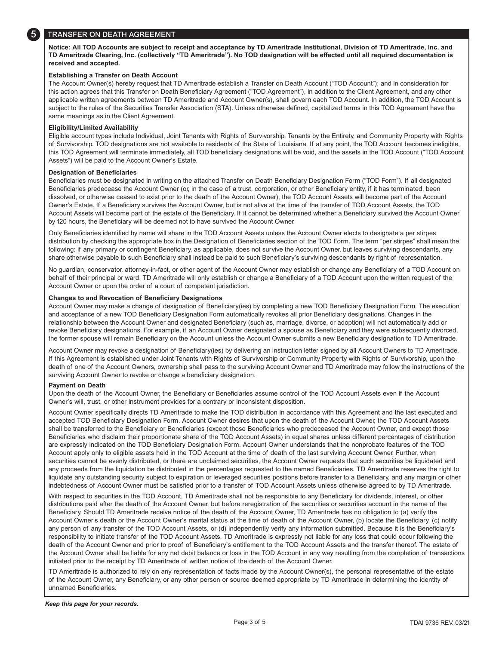

## **TRANSFER ON DEATH AGREEMENT**

**Notice: All TOD Accounts are subject to receipt and acceptance by TD Ameritrade Institutional, Division of TD Ameritrade, Inc. and TD Ameritrade Clearing, Inc. (collectively "TD Ameritrade"). No TOD designation will be effected until all required documentation is received and accepted.**

## **Establishing a Transfer on Death Account**

The Account Owner(s) hereby request that TD Ameritrade establish a Transfer on Death Account ("TOD Account"); and in consideration for this action agrees that this Transfer on Death Beneficiary Agreement ("TOD Agreement"), in addition to the Client Agreement, and any other applicable written agreements between TD Ameritrade and Account Owner(s), shall govern each TOD Account. In addition, the TOD Account is subject to the rules of the Securities Transfer Association (STA). Unless otherwise defined, capitalized terms in this TOD Agreement have the same meanings as in the Client Agreement.

## **Eligibility/Limited Availability**

Eligible account types include Individual, Joint Tenants with Rights of Survivorship, Tenants by the Entirety, and Community Property with Rights of Survivorship. TOD designations are not available to residents of the State of Louisiana. If at any point, the TOD Account becomes ineligible, this TOD Agreement will terminate immediately, all TOD beneficiary designations will be void, and the assets in the TOD Account ("TOD Account Assets") will be paid to the Account Owner's Estate.

#### **Designation of Beneficiaries**

Beneficiaries must be designated in writing on the attached Transfer on Death Beneficiary Designation Form ("TOD Form"). If all designated Beneficiaries predecease the Account Owner (or, in the case of a trust, corporation, or other Beneficiary entity, if it has terminated, been dissolved, or otherwise ceased to exist prior to the death of the Account Owner), the TOD Account Assets will become part of the Account Owner's Estate. If a Beneficiary survives the Account Owner, but is not alive at the time of the transfer of TOD Account Assets, the TOD Account Assets will become part of the estate of the Beneficiary. If it cannot be determined whether a Beneficiary survived the Account Owner by 120 hours, the Beneficiary will be deemed not to have survived the Account Owner.

Only Beneficiaries identified by name will share in the TOD Account Assets unless the Account Owner elects to designate a per stirpes distribution by checking the appropriate box in the Designation of Beneficiaries section of the TOD Form. The term "per stirpes" shall mean the following: if any primary or contingent Beneficiary, as applicable, does not survive the Account Owner, but leaves surviving descendants, any share otherwise payable to such Beneficiary shall instead be paid to such Beneficiary's surviving descendants by right of representation.

No guardian, conservator, attorney-in-fact, or other agent of the Account Owner may establish or change any Beneficiary of a TOD Account on behalf of their principal or ward. TD Ameritrade will only establish or change a Beneficiary of a TOD Account upon the written request of the Account Owner or upon the order of a court of competent jurisdiction.

#### **Changes to and Revocation of Beneficiary Designations**

Account Owner may make a change of designation of Beneficiary(ies) by completing a new TOD Beneficiary Designation Form. The execution and acceptance of a new TOD Beneficiary Designation Form automatically revokes all prior Beneficiary designations. Changes in the relationship between the Account Owner and designated Beneficiary (such as, marriage, divorce, or adoption) will not automatically add or revoke Beneficiary designations. For example, if an Account Owner designated a spouse as Beneficiary and they were subsequently divorced, the former spouse will remain Beneficiary on the Account unless the Account Owner submits a new Beneficiary designation to TD Ameritrade.

Account Owner may revoke a designation of Beneficiary(ies) by delivering an instruction letter signed by all Account Owners to TD Ameritrade. If this Agreement is established under Joint Tenants with Rights of Survivorship or Community Property with Rights of Survivorship, upon the death of one of the Account Owners, ownership shall pass to the surviving Account Owner and TD Ameritrade may follow the instructions of the surviving Account Owner to revoke or change a beneficiary designation.

## **Payment on Death**

Upon the death of the Account Owner, the Beneficiary or Beneficiaries assume control of the TOD Account Assets even if the Account Owner's will, trust, or other instrument provides for a contrary or inconsistent disposition.

Account Owner specifically directs TD Ameritrade to make the TOD distribution in accordance with this Agreement and the last executed and accepted TOD Beneficiary Designation Form. Account Owner desires that upon the death of the Account Owner, the TOD Account Assets shall be transferred to the Beneficiary or Beneficiaries (except those Beneficiaries who predeceased the Account Owner, and except those Beneficiaries who disclaim their proportionate share of the TOD Account Assets) in equal shares unless different percentages of distribution are expressly indicated on the TOD Beneficiary Designation Form. Account Owner understands that the nonprobate features of the TOD Account apply only to eligible assets held in the TOD Account at the time of death of the last surviving Account Owner. Further, when securities cannot be evenly distributed, or there are unclaimed securities, the Account Owner requests that such securities be liquidated and any proceeds from the liquidation be distributed in the percentages requested to the named Beneficiaries. TD Ameritrade reserves the right to liquidate any outstanding security subject to expiration or leveraged securities positions before transfer to a Beneficiary, and any margin or other indebtedness of Account Owner must be satisfied prior to a transfer of TOD Account Assets unless otherwise agreed to by TD Ameritrade.

With respect to securities in the TOD Account, TD Ameritrade shall not be responsible to any Beneficiary for dividends, interest, or other distributions paid after the death of the Account Owner, but before reregistration of the securities or securities account in the name of the Beneficiary. Should TD Ameritrade receive notice of the death of the Account Owner, TD Ameritrade has no obligation to (a) verify the Account Owner's death or the Account Owner's marital status at the time of death of the Account Owner, (b) locate the Beneficiary, (c) notify any person of any transfer of the TOD Account Assets, or (d) independently verify any information submitted. Because it is the Beneficiary's responsibility to initiate transfer of the TOD Account Assets, TD Ameritrade is expressly not liable for any loss that could occur following the death of the Account Owner and prior to proof of Beneficiary's entitlement to the TOD Account Assets and the transfer thereof. The estate of the Account Owner shall be liable for any net debit balance or loss in the TOD Account in any way resulting from the completion of transactions initiated prior to the receipt by TD Ameritrade of written notice of the death of the Account Owner.

TD Ameritrade is authorized to rely on any representation of facts made by the Account Owner(s), the personal representative of the estate of the Account Owner, any Beneficiary, or any other person or source deemed appropriate by TD Ameritrade in determining the identity of unnamed Beneficiaries.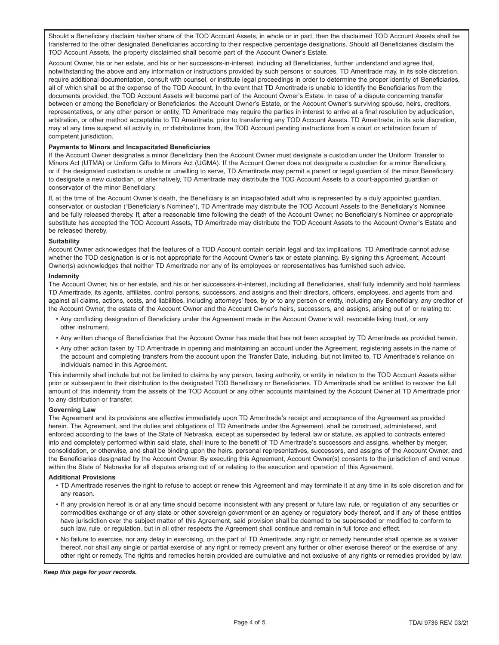Should a Beneficiary disclaim his/her share of the TOD Account Assets, in whole or in part, then the disclaimed TOD Account Assets shall be transferred to the other designated Beneficiaries according to their respective percentage designations. Should all Beneficiaries disclaim the TOD Account Assets, the property disclaimed shall become part of the Account Owner's Estate.

Account Owner, his or her estate, and his or her successors-in-interest, including all Beneficiaries, further understand and agree that, notwithstanding the above and any information or instructions provided by such persons or sources, TD Ameritrade may, in its sole discretion, require additional documentation, consult with counsel, or institute legal proceedings in order to determine the proper identity of Beneficiaries, all of which shall be at the expense of the TOD Account. In the event that TD Ameritrade is unable to identify the Beneficiaries from the documents provided, the TOD Account Assets will become part of the Account Owner's Estate. In case of a dispute concerning transfer between or among the Beneficiary or Beneficiaries, the Account Owner's Estate, or the Account Owner's surviving spouse, heirs, creditors, representatives, or any other person or entity, TD Ameritrade may require the parties in interest to arrive at a final resolution by adjudication, arbitration, or other method acceptable to TD Ameritrade, prior to transferring any TOD Account Assets. TD Ameritrade, in its sole discretion, may at any time suspend all activity in, or distributions from, the TOD Account pending instructions from a court or arbitration forum of competent jurisdiction.

## **Payments to Minors and Incapacitated Beneficiaries**

If the Account Owner designates a minor Beneficiary then the Account Owner must designate a custodian under the Uniform Transfer to Minors Act (UTMA) or Uniform Gifts to Minors Act (UGMA). If the Account Owner does not designate a custodian for a minor Beneficiary, or if the designated custodian is unable or unwilling to serve, TD Ameritrade may permit a parent or legal guardian of the minor Beneficiary to designate a new custodian, or alternatively, TD Ameritrade may distribute the TOD Account Assets to a court-appointed guardian or conservator of the minor Beneficiary.

If, at the time of the Account Owner's death, the Beneficiary is an incapacitated adult who is represented by a duly appointed guardian, conservator, or custodian ("Beneficiary's Nominee"), TD Ameritrade may distribute the TOD Account Assets to the Beneficiary's Nominee and be fully released thereby. If, after a reasonable time following the death of the Account Owner, no Beneficiary's Nominee or appropriate substitute has accepted the TOD Account Assets, TD Ameritrade may distribute the TOD Account Assets to the Account Owner's Estate and be released thereby.

#### **Suitability**

Account Owner acknowledges that the features of a TOD Account contain certain legal and tax implications. TD Ameritrade cannot advise whether the TOD designation is or is not appropriate for the Account Owner's tax or estate planning. By signing this Agreement, Account Owner(s) acknowledges that neither TD Ameritrade nor any of its employees or representatives has furnished such advice.

#### **Indemnity**

The Account Owner, his or her estate, and his or her successors-in-interest, including all Beneficiaries, shall fully indemnify and hold harmless TD Ameritrade, its agents, affiliates, control persons, successors, and assigns and their directors, officers, employees, and agents from and against all claims, actions, costs, and liabilities, including attorneys' fees, by or to any person or entity, including any Beneficiary, any creditor of the Account Owner, the estate of the Account Owner and the Account Owner's heirs, successors, and assigns, arising out of or relating to:

- Any conflicting designation of Beneficiary under the Agreement made in the Account Owner's will, revocable living trust, or any other instrument.
- Any written change of Beneficiaries that the Account Owner has made that has not been accepted by TD Ameritrade as provided herein.
- Any other action taken by TD Ameritrade in opening and maintaining an account under the Agreement, registering assets in the name of the account and completing transfers from the account upon the Transfer Date, including, but not limited to, TD Ameritrade's reliance on individuals named in this Agreement.

This indemnity shall include but not be limited to claims by any person, taxing authority, or entity in relation to the TOD Account Assets either prior or subsequent to their distribution to the designated TOD Beneficiary or Beneficiaries. TD Ameritrade shall be entitled to recover the full amount of this indemnity from the assets of the TOD Account or any other accounts maintained by the Account Owner at TD Ameritrade prior to any distribution or transfer.

## **Governing Law**

The Agreement and its provisions are effective immediately upon TD Ameritrade's receipt and acceptance of the Agreement as provided herein. The Agreement, and the duties and obligations of TD Ameritrade under the Agreement, shall be construed, administered, and enforced according to the laws of the State of Nebraska, except as superseded by federal law or statute, as applied to contracts entered into and completely performed within said state, shall inure to the benefit of TD Ameritrade's successors and assigns, whether by merger, consolidation, or otherwise, and shall be binding upon the heirs, personal representatives, successors, and assigns of the Account Owner, and the Beneficiaries designated by the Account Owner. By executing this Agreement, Account Owner(s) consents to the jurisdiction of and venue within the State of Nebraska for all disputes arising out of or relating to the execution and operation of this Agreement.

#### **Additional Provisions**

- TD Ameritrade reserves the right to refuse to accept or renew this Agreement and may terminate it at any time in its sole discretion and for any reason.
- If any provision hereof is or at any time should become inconsistent with any present or future law, rule, or regulation of any securities or commodities exchange or of any state or other sovereign government or an agency or regulatory body thereof, and if any of these entities have jurisdiction over the subject matter of this Agreement, said provision shall be deemed to be superseded or modified to conform to such law, rule, or regulation, but in all other respects the Agreement shall continue and remain in full force and effect.
- No failure to exercise, nor any delay in exercising, on the part of TD Ameritrade, any right or remedy hereunder shall operate as a waiver thereof, nor shall any single or partial exercise of any right or remedy prevent any further or other exercise thereof or the exercise of any other right or remedy. The rights and remedies herein provided are cumulative and not exclusive of any rights or remedies provided by law.

#### *Keep this page for your records.*